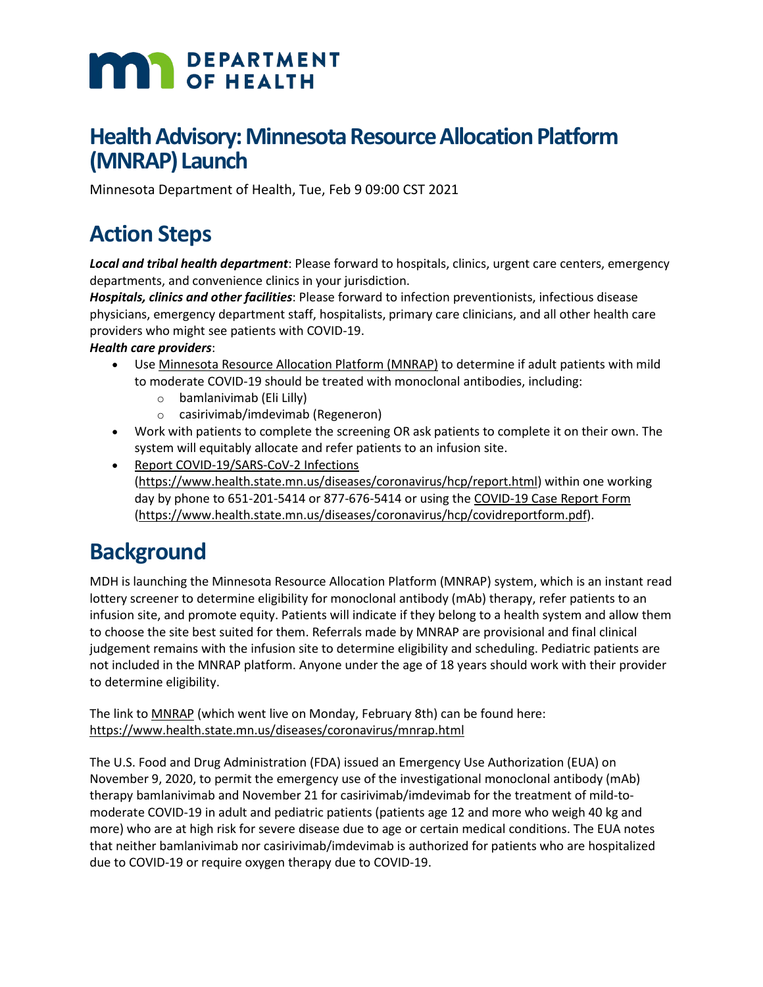# **MAN** DEPARTMENT

## **Health Advisory: Minnesota Resource Allocation Platform (MNRAP) Launch**

Minnesota Department of Health, Tue, Feb 9 09:00 CST 2021

## **Action Steps**

*Local and tribal health department*: Please forward to hospitals, clinics, urgent care centers, emergency departments, and convenience clinics in your jurisdiction.

*Hospitals, clinics and other facilities*: Please forward to infection preventionists, infectious disease physicians, emergency department staff, hospitalists, primary care clinicians, and all other health care providers who might see patients with COVID-19.

#### *Health care providers*:

- Use [Minnesota Resource Allocation Platform \(MNRAP\)](https://www.health.state.mn.us/diseases/coronavirus/mnrap.html) to determine if adult patients with mild to moderate COVID-19 should be treated with monoclonal antibodies, including:
	- o bamlanivimab (Eli Lilly)
	- o casirivimab/imdevimab (Regeneron)
- Work with patients to complete the screening OR ask patients to complete it on their own. The system will equitably allocate and refer patients to an infusion site.
- [Report COVID-19/SARS-CoV-2 Infections](https://www.health.state.mn.us/diseases/coronavirus/hcp/report.html) [\(https://www.health.state.mn.us/diseases/coronavirus/hcp/report.html\)](https://www.health.state.mn.us/diseases/coronavirus/hcp/report.html) within one working day by phone to 651-201-5414 or 877-676-5414 or using th[e COVID-19 Case Report Form](https://www.health.state.mn.us/diseases/coronavirus/hcp/covidreportform.pdf) [\(https://www.health.state.mn.us/diseases/coronavirus/hcp/covidreportform.pdf\)](https://www.health.state.mn.us/diseases/coronavirus/hcp/covidreportform.pdf).

## **Background**

MDH is launching the Minnesota Resource Allocation Platform (MNRAP) system, which is an instant read lottery screener to determine eligibility for monoclonal antibody (mAb) therapy, refer patients to an infusion site, and promote equity. Patients will indicate if they belong to a health system and allow them to choose the site best suited for them. Referrals made by MNRAP are provisional and final clinical judgement remains with the infusion site to determine eligibility and scheduling. Pediatric patients are not included in the MNRAP platform. Anyone under the age of 18 years should work with their provider to determine eligibility.

The link to [MNRAP](https://www.health.state.mn.us/diseases/coronavirus/mnrap.html) (which went live on Monday, February 8th) can be found here: <https://www.health.state.mn.us/diseases/coronavirus/mnrap.html>

The U.S. Food and Drug Administration (FDA) issued an Emergency Use Authorization (EUA) on November 9, 2020, to permit the emergency use of the investigational monoclonal antibody (mAb) therapy bamlanivimab and November 21 for casirivimab/imdevimab for the treatment of mild-tomoderate COVID-19 in adult and pediatric patients (patients age 12 and more who weigh 40 kg and more) who are at high risk for severe disease due to age or certain medical conditions. The EUA notes that neither bamlanivimab nor casirivimab/imdevimab is authorized for patients who are hospitalized due to COVID-19 or require oxygen therapy due to COVID-19.